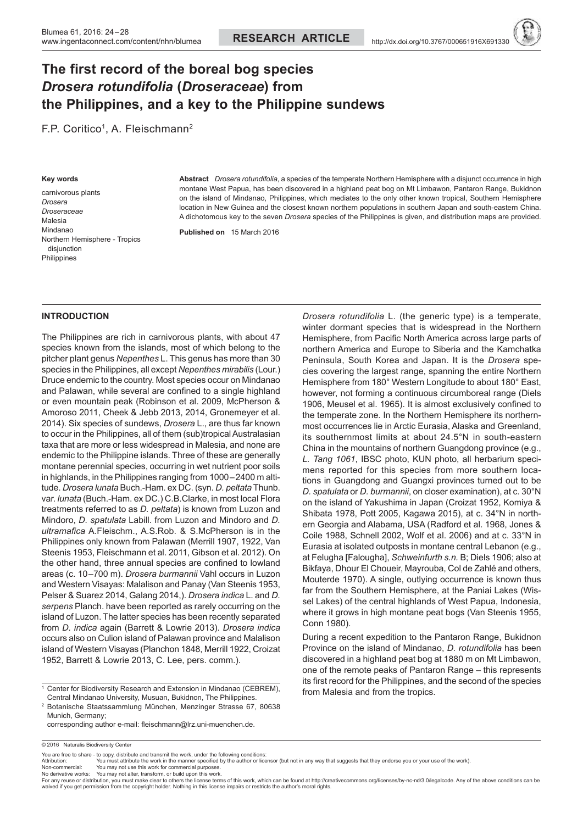# **The first record of the boreal bog species**  *Drosera rotundifolia* **(***Droseraceae***) from the Philippines, and a key to the Philippine sundews**

F.P. Coritico<sup>1</sup>, A. Fleischmann<sup>2</sup>

#### **Key words**

carnivorous plants *Drosera Droseraceae* Malesia Mindanao Northern Hemisphere - Tropics disjunction **Philippines** 

**Abstract** *Drosera rotundifolia*, a species of the temperate Northern Hemisphere with a disjunct occurrence in high montane West Papua, has been discovered in a highland peat bog on Mt Limbawon, Pantaron Range, Bukidnon on the island of Mindanao, Philippines, which mediates to the only other known tropical, Southern Hemisphere location in New Guinea and the closest known northern populations in southern Japan and south-eastern China. A dichotomous key to the seven *Drosera* species of the Philippines is given, and distribution maps are provided.

**Published on** 15 March 2016

## **Introduction**

The Philippines are rich in carnivorous plants, with about 47 species known from the islands, most of which belong to the pitcher plant genus *Nepenthes* L. This genus has more than 30 species in the Philippines, all except *Nepenthes mirabilis* (Lour.) Druce endemic to the country. Most species occur on Mindanao and Palawan, while several are confined to a single highland or even mountain peak (Robinson et al. 2009, McPherson & Amoroso 2011, Cheek & Jebb 2013, 2014, Gronemeyer et al. 2014). Six species of sundews, *Drosera* L., are thus far known to occur in the Philippines, all of them (sub)tropical Australasian taxa that are more or less widespread in Malesia, and none are endemic to the Philippine islands. Three of these are generally montane perennial species, occurring in wet nutrient poor soils in highlands, in the Philippines ranging from 1000–2400 m altitude. *Drosera lunata* Buch.-Ham. ex DC. (syn. *D. peltata* Thunb. var. *lunata* (Buch.-Ham. ex DC.) C.B.Clarke, in most local Flora treatments referred to as *D. peltata*) is known from Luzon and Mindoro, *D. spatulata* Labill. from Luzon and Mindoro and *D. ultramafica* A.Fleischm., A.S.Rob. & S.McPherson is in the Philippines only known from Palawan (Merrill 1907, 1922, Van Steenis 1953, Fleischmann et al. 2011, Gibson et al. 2012). On the other hand, three annual species are confined to lowland areas (c. 10–700 m). *Drosera burmannii* Vahl occurs in Luzon and Western Visayas: Malalison and Panay (Van Steenis 1953, Pelser & Suarez 2014, Galang 2014,). *Drosera indica* L. and *D. serpens* Planch. have been reported as rarely occurring on the island of Luzon. The latter species has been recently separated from *D. indica* again (Barrett & Lowrie 2013). *Drosera indica* occurs also on Culion island of Palawan province and Malalison island of Western Visayas (Planchon 1848, Merrill 1922, Croizat 1952, Barrett & Lowrie 2013, C. Lee, pers. comm.).

<sup>1</sup> Center for Biodiversity Research and Extension in Mindanao (CEBREM), Central Mindanao University, Musuan, Bukidnon, The Philippines.

2 Botanische Staatssammlung München, Menzinger Strasse 67, 80638 Munich, Germany;

 corresponding author e-mail: fleischmann@lrz.uni-muenchen.de.

*Drosera rotundifolia* L. (the generic type) is a temperate, winter dormant species that is widespread in the Northern Hemisphere, from Pacific North America across large parts of northern America and Europe to Siberia and the Kamchatka Peninsula, South Korea and Japan. It is the *Drosera* species covering the largest range, spanning the entire Northern Hemisphere from 180° Western Longitude to about 180° East, however, not forming a continuous circumboreal range (Diels 1906, Meusel et al. 1965). It is almost exclusively confined to the temperate zone. In the Northern Hemisphere its northernmost occurrences lie in Arctic Eurasia, Alaska and Greenland, its southernmost limits at about 24.5°N in south-eastern China in the mountains of northern Guangdong province (e.g., *L. Tang 1061*, IBSC photo, KUN photo, all herbarium specimens reported for this species from more southern locations in Guangdong and Guangxi provinces turned out to be *D. spatulata* or *D. burmannii*, on closer examination), at c. 30°N on the island of Yakushima in Japan (Croizat 1952, Komiya & Shibata 1978, Pott 2005, Kagawa 2015), at c. 34°N in northern Georgia and Alabama, USA (Radford et al. 1968, Jones & Coile 1988, Schnell 2002, Wolf et al. 2006) and at c. 33°N in Eurasia at isolated outposts in montane central Lebanon (e.g., at Felugha [Falougha], *Schweinfurth s.n.* B; Diels 1906; also at Bikfaya, Dhour El Choueir, Mayrouba, Col de Zahlé and others, Mouterde 1970). A single, outlying occurrence is known thus far from the Southern Hemisphere, at the Paniai Lakes (Wissel Lakes) of the central highlands of West Papua, Indonesia, where it grows in high montane peat bogs (Van Steenis 1955, Conn 1980).

During a recent expedition to the Pantaron Range, Bukidnon Province on the island of Mindanao, *D. rotundifolia* has been discovered in a highland peat bog at 1880 m on Mt Limbawon, one of the remote peaks of Pantaron Range – this represents its first record for the Philippines, and the second of the species from Malesia and from the tropics.

Non-commercial: You may not use this work for commercial purposes

<sup>© 2016</sup> Naturalis Biodiversity Center

You are free to share - to copy, distribute and transmit the work, under the following conditions:<br>Attribution: You must attribute the work in the manner specified by the author or licensor (but not in any way that suggest

No derivative works: You may not alter, transform, or build upon this work.<br>For any reuse or distribution, you must make clear to others the license terms of this work, which can be found at http://creativecommons.org/lic waived if you get permission from the copyright holder. Nothing in this license impairs or restricts the author's moral rights.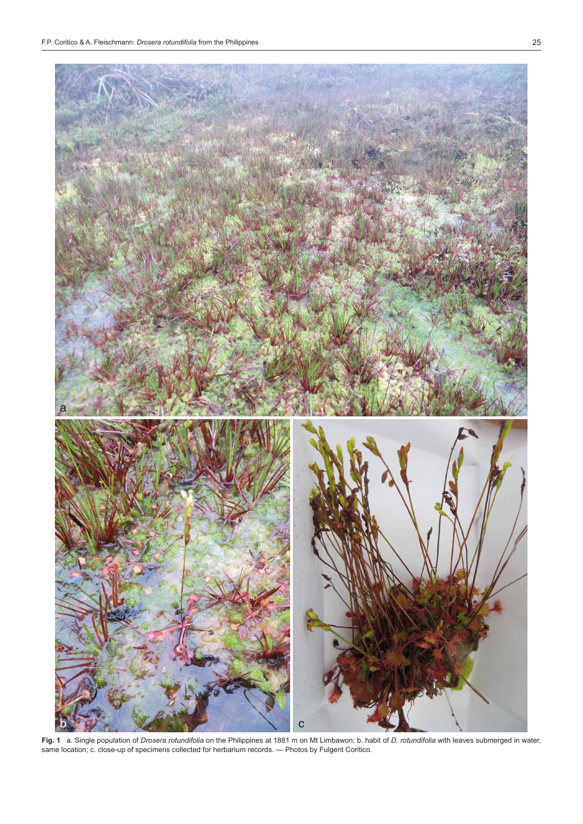

**Fig. 1**   a. Single population of *Drosera rotundifolia* on the Philippines at 1881 m on Mt Limbawon; b. habit of *D. rotundifolia* with leaves submerged in water, same location; c. close-up of specimens collected for herbarium records. — Photos by Fulgent Coritico.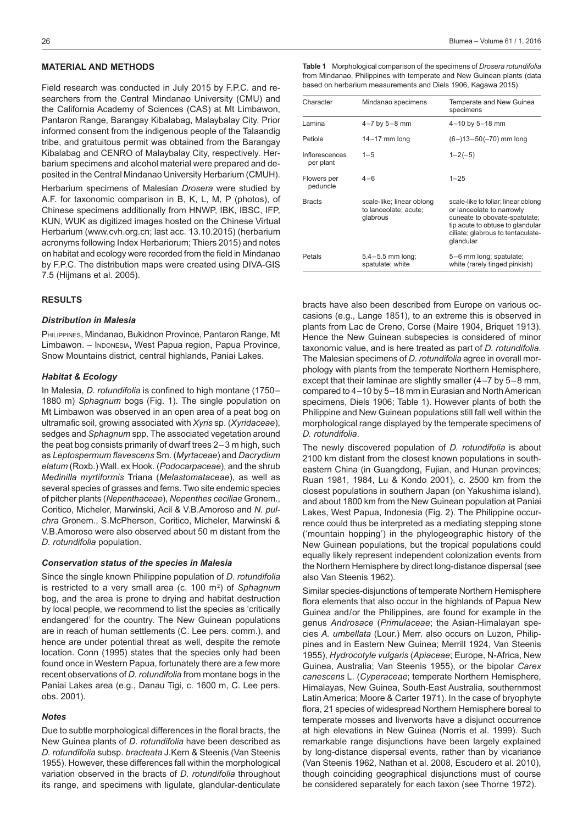## **Material and Methods**

Field research was conducted in July 2015 by F.P.C. and researchers from the Central Mindanao University (CMU) and the California Academy of Sciences (CAS) at Mt Limbawon, Pantaron Range, Barangay Kibalabag, Malaybalay City. Prior informed consent from the indigenous people of the Talaandig tribe, and gratuitous permit was obtained from the Barangay Kibalabag and CENRO of Malaybalay City, respectively. Herbarium specimens and alcohol material were prepared and deposited in the Central Mindanao University Herbarium (CMUH).

Herbarium specimens of Malesian *Drosera* were studied by A.F. for taxonomic comparison in B, K, L, M, P (photos), of Chinese specimens additionally from HNWP, IBK, IBSC, IFP, KUN, WUK as digitized images hosted on the Chinese Virtual Herbarium (www.cvh.org.cn; last acc. 13.10.2015) (herbarium acronyms following Index Herbariorum; Thiers 2015) and notes on habitat and ecology were recorded from the field in Mindanao by F.P.C. The distribution maps were created using DIVA-GIS 7.5 (Hijmans et al. 2005).

### **Results**

#### *Distribution in Malesia*

PHILIPPINES, Mindanao, Bukidnon Province, Pantaron Range, Mt Limbawon. - INDONESIA, West Papua region, Papua Province, Snow Mountains district, central highlands, Paniai Lakes.

#### *Habitat & Ecology*

In Malesia, *D. rotundifolia* is confined to high montane (1750– 1880 m) *Sphagnum* bogs (Fig. 1). The single population on Mt Limbawon was observed in an open area of a peat bog on ultramafic soil, growing associated with *Xyris* sp. (*Xyridaceae*), sedges and *Sphagnum* spp. The associated vegetation around the peat bog consists primarily of dwarf trees 2–3 m high, such as *Leptospermum flavescens* Sm. (*Myrtaceae*) and *Dacrydium elatum* (Roxb.) Wall. ex Hook. (*Podocarpaceae*), and the shrub *Medinilla myrtiformis* Triana (*Melastomataceae*), as well as several species of grasses and ferns. Two site endemic species of pitcher plants (*Nepenthaceae*), *Nepenthes ceciliae* Gronem., Coritico, Micheler, Marwinski, Acil & V.B.Amoroso and *N. pulchra* Gronem., S.McPherson, Coritico, Micheler, Marwinski & V.B.Amoroso were also observed about 50 m distant from the *D. rotundifolia* population.

#### *Conservation status of the species in Malesia*

Since the single known Philippine population of *D. rotundifolia* is restricted to a very small area (c. 100 m<sup>2</sup>) of Sphagnum bog, and the area is prone to drying and habitat destruction by local people, we recommend to list the species as 'critically endangered' for the country. The New Guinean populations are in reach of human settlements (C. Lee pers. comm.), and hence are under potential threat as well, despite the remote location. Conn (1995) states that the species only had been found once in Western Papua, fortunately there are a few more recent observations of *D. rotundifolia* from montane bogs in the Paniai Lakes area (e.g., Danau Tigi, c. 1600 m, C. Lee pers. obs. 2001).

#### *Notes*

Due to subtle morphological differences in the floral bracts, the New Guinea plants of *D. rotundifolia* have been described as *D. rotundifolia* subsp. *bracteata* J.Kern & Steenis (Van Steenis 1955). However, these differences fall within the morphological variation observed in the bracts of *D. rotundifolia* throughout its range, and specimens with ligulate, glandular-denticulate

**Table 1**   Morphological comparison of the specimens of *Drosera rotundifolia* from Mindanao, Philippines with temperate and New Guinean plants (data based on herbarium measurements and Diels 1906, Kagawa 2015).

| Character                   | Mindanao specimens                                             | Temperate and New Guinea<br>specimens                                                                                                                                                   |
|-----------------------------|----------------------------------------------------------------|-----------------------------------------------------------------------------------------------------------------------------------------------------------------------------------------|
| Lamina                      | $4 - 7$ by $5 - 8$ mm                                          | 4-10 by 5-18 mm                                                                                                                                                                         |
| Petiole                     | $14-17$ mm long                                                | $(6-13-50(-70)$ mm long                                                                                                                                                                 |
| Inflorescences<br>per plant | $1 - 5$                                                        | $1 - 2(-5)$                                                                                                                                                                             |
| Flowers per<br>peduncle     | $4 - 6$                                                        | $1 - 25$                                                                                                                                                                                |
| <b>Bracts</b>               | scale-like; linear oblong<br>to lanceolate; acute;<br>glabrous | scale-like to foliar; linear oblong<br>or lanceolate to narrowly<br>cuneate to obovate-spatulate;<br>tip acute to obtuse to glandular<br>ciliate; glabrous to tentaculate-<br>glandular |
| Petals                      | $5.4 - 5.5$ mm long;<br>spatulate; white                       | 5-6 mm long; spatulate;<br>white (rarely tinged pinkish)                                                                                                                                |

bracts have also been described from Europe on various occasions (e.g., Lange 1851), to an extreme this is observed in plants from Lac de Creno, Corse (Maire 1904, Briquet 1913). Hence the New Guinean subspecies is considered of minor taxonomic value, and is here treated as part of *D. rotundifolia*. The Malesian specimens of *D. rotundifolia* agree in overall morphology with plants from the temperate Northern Hemisphere, except that their laminae are slightly smaller (4–7 by 5–8 mm, compared to 4–10 by 5–18 mm in Eurasian and NorthAmerican specimens, Diels 1906; Table 1). However plants of both the Philippine and New Guinean populations still fall well within the morphological range displayed by the temperate specimens of *D. rotundifolia*.

The newly discovered population of *D. rotundifolia* is about 2100 km distant from the closest known populations in southeastern China (in Guangdong, Fujian, and Hunan provinces; Ruan 1981, 1984, Lu & Kondo 2001), c. 2500 km from the closest populations in southern Japan (on Yakushima island), and about 1800 km from the New Guinean population at Paniai Lakes, West Papua, Indonesia (Fig. 2). The Philippine occurrence could thus be interpreted as a mediating stepping stone ('mountain hopping') in the phylogeographic history of the New Guinean populations, but the tropical populations could equally likely represent independent colonization events from the Northern Hemisphere by direct long-distance dispersal (see also Van Steenis 1962).

Similar species-disjunctions of temperate Northern Hemisphere flora elements that also occur in the highlands of Papua New Guinea and/or the Philippines, are found for example in the genus *Androsace* (*Primulaceae*; the Asian-Himalayan species *A. umbellata* (Lour.) Merr. also occurs on Luzon, Philippines and in Eastern New Guinea; Merrill 1924, Van Steenis 1955), *Hydrocotyle vulgaris* (*Apiaceae*; Europe, N-Africa, New Guinea, Australia; Van Steenis 1955), or the bipolar *Carex canescens* L. (*Cyperaceae*; temperate Northern Hemisphere, Himalayas, New Guinea, South-East Australia, southernmost Latin America; Moore & Carter 1971). In the case of bryophyte flora, 21 species of widespread Northern Hemisphere boreal to temperate mosses and liverworts have a disjunct occurrence at high elevations in New Guinea (Norris et al. 1999). Such remarkable range disjunctions have been largely explained by long-distance dispersal events, rather than by vicariance (Van Steenis 1962, Nathan et al. 2008, Escudero et al. 2010), though coinciding geographical disjunctions must of course be considered separately for each taxon (see Thorne 1972).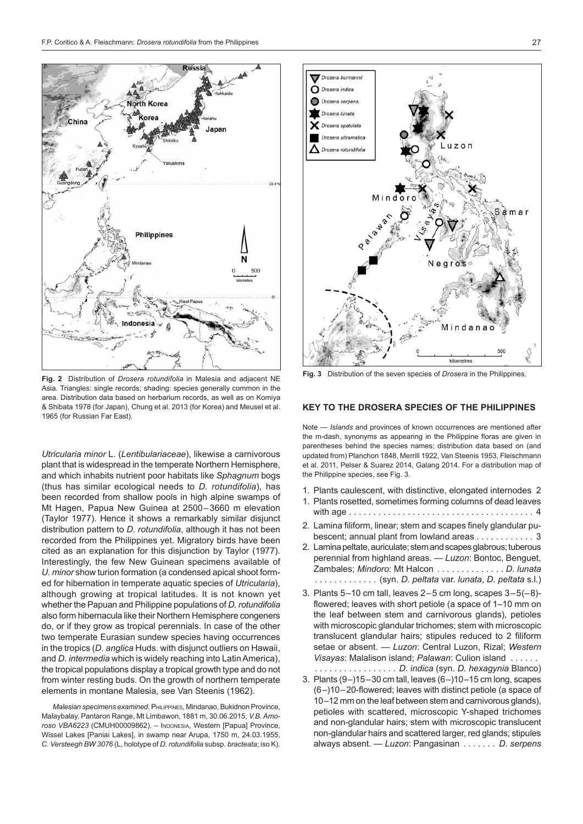

**Fig. 2** Distribution of *Drosera rotundifolia* in Malesia and adjacent NE Asia. Triangles: single records; shading: species generally common in the area. Distribution data based on herbarium records, as well as on Komiya & Shibata 1978 (for Japan), Chung et al. 2013 (for Korea) and Meusel et al. 1965 (for Russian Far East).

*Utricularia minor* L. (*Lentibulariaceae*), likewise a carnivorous plant that is widespread in the temperate Northern Hemisphere, and which inhabits nutrient poor habitats like *Sphagnum* bogs (thus has similar ecological needs to *D. rotundifolia*), has been recorded from shallow pools in high alpine swamps of Mt Hagen, Papua New Guinea at 2500–3660 m elevation (Taylor 1977). Hence it shows a remarkably similar disjunct distribution pattern to *D. rotundifolia*, although it has not been recorded from the Philippines yet. Migratory birds have been cited as an explanation for this disjunction by Taylor (1977). Interestingly, the few New Guinean specimens available of *U. minor* show turion formation (a condensed apical shoot formed for hibernation in temperate aquatic species of *Utricularia*), although growing at tropical latitudes. It is not known yet whether the Papuan and Philippine populations of *D. rotundifolia* also form hibernacula like their Northern Hemisphere congeners do, or if they grow as tropical perennials. In case of the other two temperate Eurasian sundew species having occurrences in the tropics (*D. anglica* Huds. with disjunct outliers on Hawaii, and *D. intermedia* which is widely reaching into LatinAmerica), the tropical populations display a tropical growth type and do not from winter resting buds. On the growth of northern temperate elements in montane Malesia, see Van Steenis (1962).

*Malesian specimens examined.* Philippines, Mindanao, Bukidnon Province, Malaybalay, Pantaron Range, Mt Limbawon, 1881 m, 30.06.2015, *V.B. Amoroso VBA6223* (CMUH00009862). – Indonesia, Western [Papua] Province, Wissel Lakes [Paniai Lakes], in swamp near Arupa, 1750 m, 24.03.1955, *C. Versteegh BW 3076* (L, holotype of *D. rotundifolia* subsp. *bracteata*; iso K).



**Fig. 3** Distribution of the seven species of *Drosera* in the Philippines.

## **Key to the Drosera species of the Philippines**

Note — *Islands* and provinces of known occurrences are mentioned after the m-dash, synonyms as appearing in the Philippine floras are given in parentheses behind the species names; distribution data based on (and updated from) Planchon 1848, Merrill 1922, Van Steenis 1953, Fleischmann et al. 2011, Pelser & Suarez 2014, Galang 2014. For a distribution map of the Philippine species, see Fig. 3.

- 1. Plants caulescent, with distinctive, elongated internodes 2
- 1. Plants rosetted, sometimes forming columns of dead leaves with age . . 4
- 2. Lamina filiform, linear; stem and scapes finely glandular pubescent; annual plant from lowland areas . . . . . . . . . . . 3
- 2. Lamina peltate, auriculate; stem and scapes glabrous; tuberous perennial from highland areas. — *Luzon*: Bontoc, Benguet, Zambales; *Mindoro*: Mt Halcon . . *D. lunata* . . . . . . . . . . . . . (syn. *D. peltata* var. *lunata*, *D. peltata* s.l.)
- 3. Plants  $5-10$  cm tall, leaves  $2-5$  cm long, scapes  $3-5(-8)$ flowered; leaves with short petiole (a space of 1–10 mm on the leaf between stem and carnivorous glands), petioles with microscopic glandular trichomes; stem with microscopic translucent glandular hairs; stipules reduced to 2 filiform setae or absent. — *Luzon*: Central Luzon, Rizal; *Western Visayas*: Malalison island; *Palawan*: Culion island . .
- . . *D. indica* (syn. *D. hexagynia* Blanco) 3. Plants  $(9-)15-30$  cm tall, leaves  $(6-)10-15$  cm long, scapes (6–)10–20-flowered; leaves with distinct petiole (a space of 10–12 mm on the leaf between stem and carnivorous glands), petioles with scattered, microscopic Y-shaped trichomes and non-glandular hairs; stem with microscopic translucent non-glandular hairs and scattered larger, red glands; stipules always absent. — *Luzon*: Pangasinan . . *D. serpens*